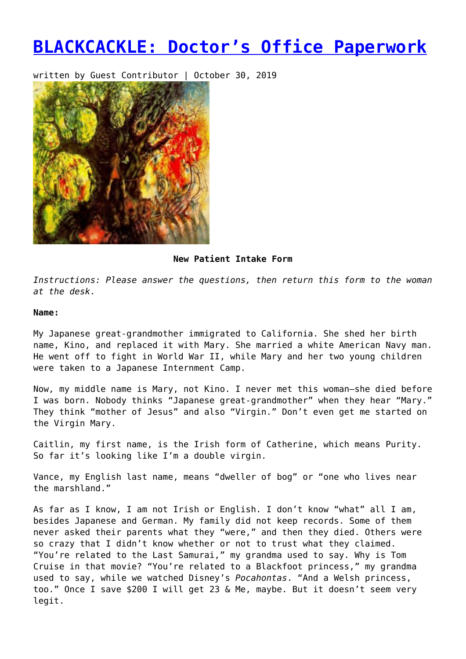# **[BLACKCACKLE: Doctor's Office Paperwork](https://entropymag.org/blackcackle-doctorsofficepaperwork/)**

written by Guest Contributor | October 30, 2019



# **New Patient Intake Form**

*Instructions: Please answer the questions, then return this form to the woman at the desk.*

# **Name:**

My Japanese great-grandmother immigrated to California. She shed her birth name, Kino, and replaced it with Mary. She married a white American Navy man. He went off to fight in World War II, while Mary and her two young children were taken to a Japanese Internment Camp.

Now, my middle name is Mary, not Kino. I never met this woman—she died before I was born. Nobody thinks "Japanese great-grandmother" when they hear "Mary." They think "mother of Jesus" and also "Virgin." Don't even get me started on the Virgin Mary.

Caitlin, my first name, is the Irish form of Catherine, which means Purity. So far it's looking like I'm a double virgin.

Vance, my English last name, means "dweller of bog" or "one who lives near the marshland."

As far as I know, I am not Irish or English. I don't know "what" all I am, besides Japanese and German. My family did not keep records. Some of them never asked their parents what they "were," and then they died. Others were so crazy that I didn't know whether or not to trust what they claimed. "You're related to the Last Samurai," my grandma used to say. Why is Tom Cruise in that movie? "You're related to a Blackfoot princess," my grandma used to say, while we watched Disney's *Pocahontas*. "And a Welsh princess, too." Once I save \$200 I will get 23 & Me, maybe. But it doesn't seem very legit.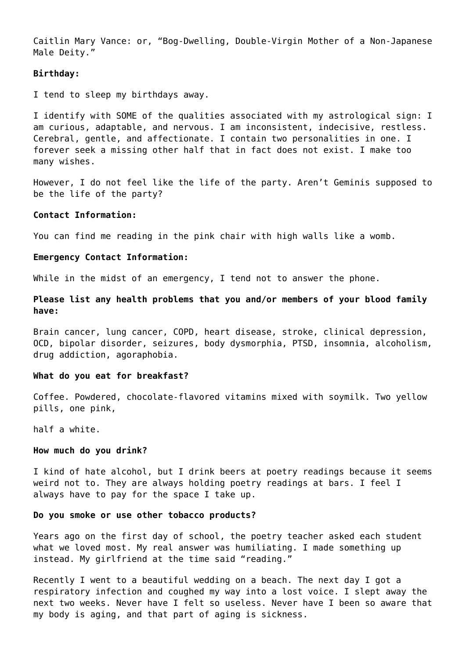Caitlin Mary Vance: or, "Bog-Dwelling, Double-Virgin Mother of a Non-Japanese Male Deity."

# **Birthday:**

I tend to sleep my birthdays away.

I identify with SOME of the qualities associated with my astrological sign: I am curious, adaptable, and nervous. I am inconsistent, indecisive, restless. Cerebral, gentle, and affectionate. I contain two personalities in one. I forever seek a missing other half that in fact does not exist. I make too many wishes.

However, I do not feel like the life of the party. Aren't Geminis supposed to be the life of the party?

# **Contact Information:**

You can find me reading in the pink chair with high walls like a womb.

# **Emergency Contact Information:**

While in the midst of an emergency, I tend not to answer the phone.

**Please list any health problems that you and/or members of your blood family have:**

Brain cancer, lung cancer, COPD, heart disease, stroke, clinical depression, OCD, bipolar disorder, seizures, body dysmorphia, PTSD, insomnia, alcoholism, drug addiction, agoraphobia.

# **What do you eat for breakfast?**

Coffee. Powdered, chocolate-flavored vitamins mixed with soymilk. Two yellow pills, one pink,

half a white.

# **How much do you drink?**

I kind of hate alcohol, but I drink beers at poetry readings because it seems weird not to. They are always holding poetry readings at bars. I feel I always have to pay for the space I take up.

# **Do you smoke or use other tobacco products?**

Years ago on the first day of school, the poetry teacher asked each student what we loved most. My real answer was humiliating. I made something up instead. My girlfriend at the time said "reading."

Recently I went to a beautiful wedding on a beach. The next day I got a respiratory infection and coughed my way into a lost voice. I slept away the next two weeks. Never have I felt so useless. Never have I been so aware that my body is aging, and that part of aging is sickness.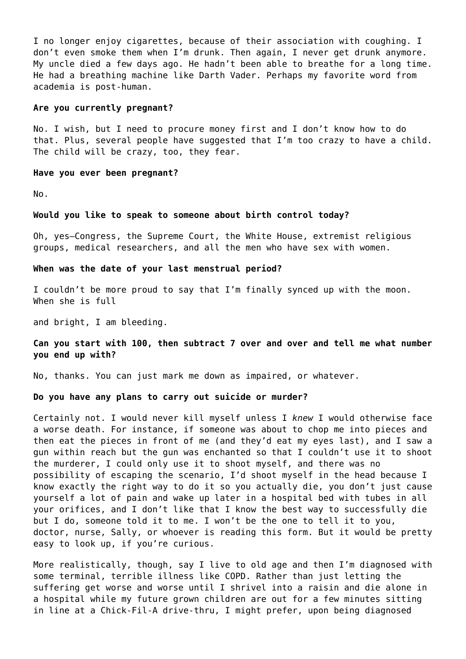I no longer enjoy cigarettes, because of their association with coughing. I don't even smoke them when I'm drunk. Then again, I never get drunk anymore. My uncle died a few days ago. He hadn't been able to breathe for a long time. He had a breathing machine like Darth Vader. Perhaps my favorite word from academia is post-human.

## **Are you currently pregnant?**

No. I wish, but I need to procure money first and I don't know how to do that. Plus, several people have suggested that I'm too crazy to have a child. The child will be crazy, too, they fear.

#### **Have you ever been pregnant?**

No.

#### **Would you like to speak to someone about birth control today?**

Oh, yes—Congress, the Supreme Court, the White House, extremist religious groups, medical researchers, and all the men who have sex with women.

## **When was the date of your last menstrual period?**

I couldn't be more proud to say that I'm finally synced up with the moon. When she is full

and bright, I am bleeding.

# **Can you start with 100, then subtract 7 over and over and tell me what number you end up with?**

No, thanks. You can just mark me down as impaired, or whatever.

# **Do you have any plans to carry out suicide or murder?**

Certainly not. I would never kill myself unless I *knew* I would otherwise face a worse death. For instance, if someone was about to chop me into pieces and then eat the pieces in front of me (and they'd eat my eyes last), and I saw a gun within reach but the gun was enchanted so that I couldn't use it to shoot the murderer, I could only use it to shoot myself, and there was no possibility of escaping the scenario, I'd shoot myself in the head because I know exactly the right way to do it so you actually die, you don't just cause yourself a lot of pain and wake up later in a hospital bed with tubes in all your orifices, and I don't like that I know the best way to successfully die but I do, someone told it to me. I won't be the one to tell it to you, doctor, nurse, Sally, or whoever is reading this form. But it would be pretty easy to look up, if you're curious.

More realistically, though, say I live to old age and then I'm diagnosed with some terminal, terrible illness like COPD. Rather than just letting the suffering get worse and worse until I shrivel into a raisin and die alone in a hospital while my future grown children are out for a few minutes sitting in line at a Chick-Fil-A drive-thru, I might prefer, upon being diagnosed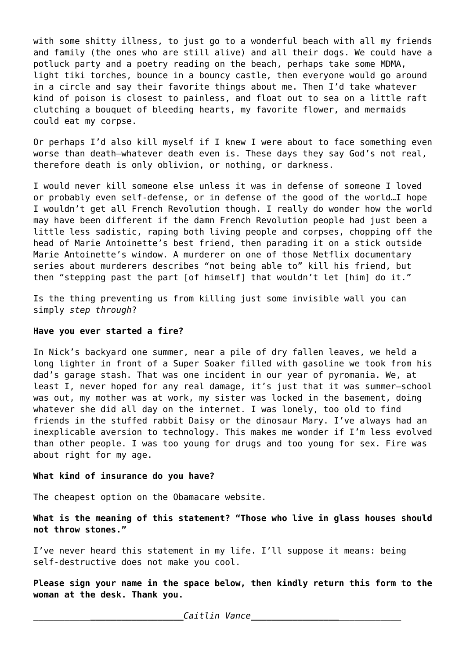with some shitty illness, to just go to a wonderful beach with all my friends and family (the ones who are still alive) and all their dogs. We could have a potluck party and a poetry reading on the beach, perhaps take some MDMA, light tiki torches, bounce in a bouncy castle, then everyone would go around in a circle and say their favorite things about me. Then I'd take whatever kind of poison is closest to painless, and float out to sea on a little raft clutching a bouquet of bleeding hearts, my favorite flower, and mermaids could eat my corpse.

Or perhaps I'd also kill myself if I knew I were about to face something even worse than death—whatever death even is. These days they say God's not real, therefore death is only oblivion, or nothing, or darkness.

I would never kill someone else unless it was in defense of someone I loved or probably even self-defense, or in defense of the good of the world…I hope I wouldn't get all French Revolution though. I really do wonder how the world may have been different if the damn French Revolution people had just been a little less sadistic, raping both living people and corpses, chopping off the head of Marie Antoinette's best friend, then parading it on a stick outside Marie Antoinette's window. A murderer on one of those Netflix documentary series about murderers describes "not being able to" kill his friend, but then "stepping past the part [of himself] that wouldn't let [him] do it."

Is the thing preventing us from killing just some invisible wall you can simply *step through*?

# **Have you ever started a fire?**

In Nick's backyard one summer, near a pile of dry fallen leaves, we held a long lighter in front of a Super Soaker filled with gasoline we took from his dad's garage stash. That was one incident in our year of pyromania. We, at least I, never hoped for any real damage, it's just that it was summer—school was out, my mother was at work, my sister was locked in the basement, doing whatever she did all day on the internet. I was lonely, too old to find friends in the stuffed rabbit Daisy or the dinosaur Mary. I've always had an inexplicable aversion to technology. This makes me wonder if I'm less evolved than other people. I was too young for drugs and too young for sex. Fire was about right for my age.

# **What kind of insurance do you have?**

The cheapest option on the Obamacare website.

**What is the meaning of this statement? "Those who live in glass houses should not throw stones."**

I've never heard this statement in my life. I'll suppose it means: being self-destructive does not make you cool.

**Please sign your name in the space below, then kindly return this form to the woman at the desk. Thank you.**